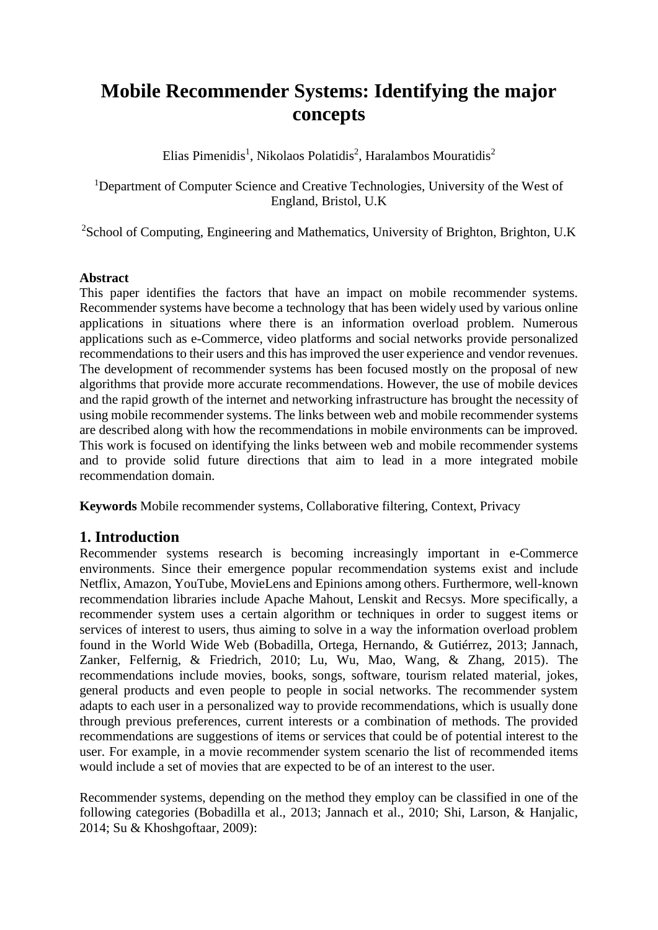# **Mobile Recommender Systems: Identifying the major concepts**

Elias Pimenidis<sup>1</sup>, Nikolaos Polatidis<sup>2</sup>, Haralambos Mouratidis<sup>2</sup>

<sup>1</sup>Department of Computer Science and Creative Technologies, University of the West of England, Bristol, U.K

<sup>2</sup>School of Computing, Engineering and Mathematics, University of Brighton, Brighton, U.K

### **Abstract**

This paper identifies the factors that have an impact on mobile recommender systems. Recommender systems have become a technology that has been widely used by various online applications in situations where there is an information overload problem. Numerous applications such as e-Commerce, video platforms and social networks provide personalized recommendations to their users and this has improved the user experience and vendor revenues. The development of recommender systems has been focused mostly on the proposal of new algorithms that provide more accurate recommendations. However, the use of mobile devices and the rapid growth of the internet and networking infrastructure has brought the necessity of using mobile recommender systems. The links between web and mobile recommender systems are described along with how the recommendations in mobile environments can be improved. This work is focused on identifying the links between web and mobile recommender systems and to provide solid future directions that aim to lead in a more integrated mobile recommendation domain.

**Keywords** Mobile recommender systems, Collaborative filtering, Context, Privacy

# **1. Introduction**

Recommender systems research is becoming increasingly important in e-Commerce environments. Since their emergence popular recommendation systems exist and include Netflix, Amazon, YouTube, MovieLens and Epinions among others. Furthermore, well-known recommendation libraries include Apache Mahout, Lenskit and Recsys. More specifically, a recommender system uses a certain algorithm or techniques in order to suggest items or services of interest to users, thus aiming to solve in a way the information overload problem found in the World Wide Web (Bobadilla, Ortega, Hernando, & Gutiérrez, 2013; Jannach, Zanker, Felfernig, & Friedrich, 2010; Lu, Wu, Mao, Wang, & Zhang, 2015). The recommendations include movies, books, songs, software, tourism related material, jokes, general products and even people to people in social networks. The recommender system adapts to each user in a personalized way to provide recommendations, which is usually done through previous preferences, current interests or a combination of methods. The provided recommendations are suggestions of items or services that could be of potential interest to the user. For example, in a movie recommender system scenario the list of recommended items would include a set of movies that are expected to be of an interest to the user.

Recommender systems, depending on the method they employ can be classified in one of the following categories (Bobadilla et al., 2013; Jannach et al., 2010; Shi, Larson, & Hanjalic, 2014; Su & Khoshgoftaar, 2009):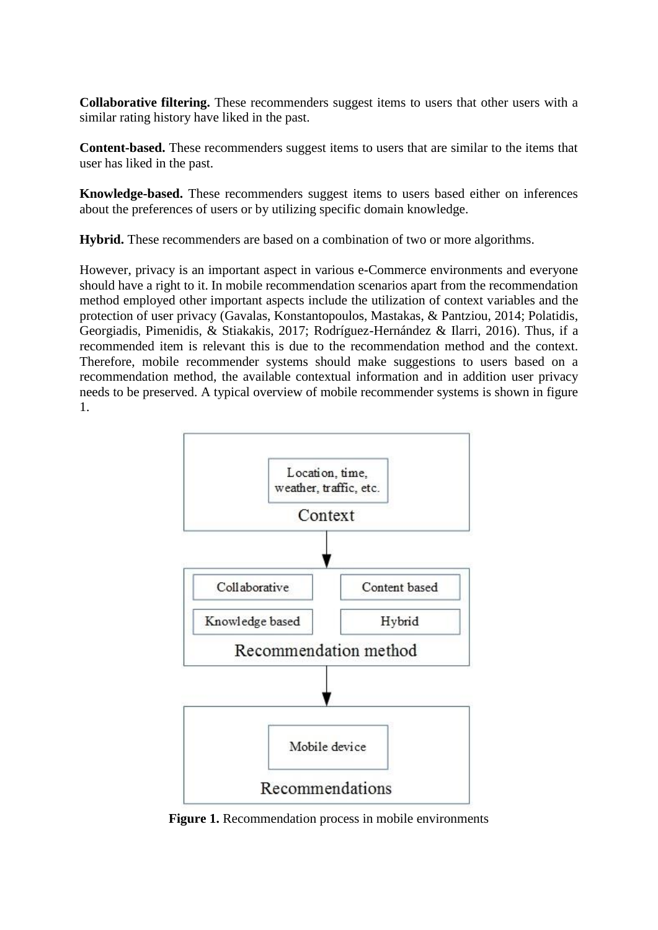**Collaborative filtering.** These recommenders suggest items to users that other users with a similar rating history have liked in the past.

**Content-based.** These recommenders suggest items to users that are similar to the items that user has liked in the past.

**Knowledge-based.** These recommenders suggest items to users based either on inferences about the preferences of users or by utilizing specific domain knowledge.

**Hybrid.** These recommenders are based on a combination of two or more algorithms.

However, privacy is an important aspect in various e-Commerce environments and everyone should have a right to it. In mobile recommendation scenarios apart from the recommendation method employed other important aspects include the utilization of context variables and the protection of user privacy (Gavalas, Konstantopoulos, Mastakas, & Pantziou, 2014; Polatidis, Georgiadis, Pimenidis, & Stiakakis, 2017; Rodríguez-Hernández & Ilarri, 2016). Thus, if a recommended item is relevant this is due to the recommendation method and the context. Therefore, mobile recommender systems should make suggestions to users based on a recommendation method, the available contextual information and in addition user privacy needs to be preserved. A typical overview of mobile recommender systems is shown in figure 1.



**Figure 1.** Recommendation process in mobile environments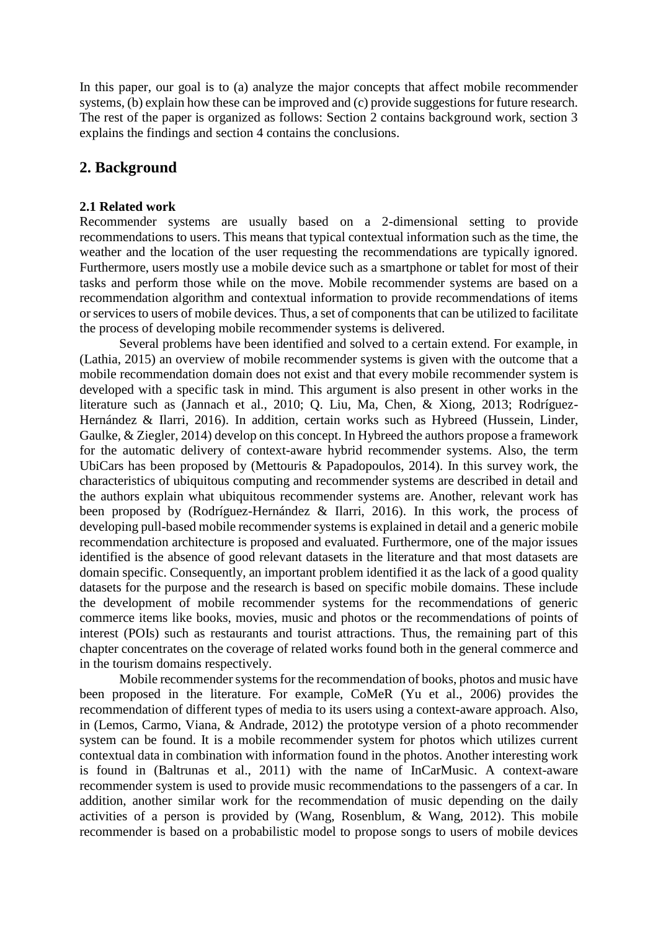In this paper, our goal is to (a) analyze the major concepts that affect mobile recommender systems, (b) explain how these can be improved and (c) provide suggestions for future research. The rest of the paper is organized as follows: Section 2 contains background work, section 3 explains the findings and section 4 contains the conclusions.

### **2. Background**

#### **2.1 Related work**

Recommender systems are usually based on a 2-dimensional setting to provide recommendations to users. This means that typical contextual information such as the time, the weather and the location of the user requesting the recommendations are typically ignored. Furthermore, users mostly use a mobile device such as a smartphone or tablet for most of their tasks and perform those while on the move. Mobile recommender systems are based on a recommendation algorithm and contextual information to provide recommendations of items or services to users of mobile devices. Thus, a set of components that can be utilized to facilitate the process of developing mobile recommender systems is delivered.

Several problems have been identified and solved to a certain extend. For example, in (Lathia, 2015) an overview of mobile recommender systems is given with the outcome that a mobile recommendation domain does not exist and that every mobile recommender system is developed with a specific task in mind. This argument is also present in other works in the literature such as (Jannach et al., 2010; Q. Liu, Ma, Chen, & Xiong, 2013; Rodríguez-Hernández & Ilarri, 2016). In addition, certain works such as Hybreed (Hussein, Linder, Gaulke, & Ziegler, 2014) develop on this concept. In Hybreed the authors propose a framework for the automatic delivery of context-aware hybrid recommender systems. Also, the term UbiCars has been proposed by (Mettouris & Papadopoulos, 2014). In this survey work, the characteristics of ubiquitous computing and recommender systems are described in detail and the authors explain what ubiquitous recommender systems are. Another, relevant work has been proposed by (Rodríguez-Hernández & Ilarri, 2016). In this work, the process of developing pull-based mobile recommender systems is explained in detail and a generic mobile recommendation architecture is proposed and evaluated. Furthermore, one of the major issues identified is the absence of good relevant datasets in the literature and that most datasets are domain specific. Consequently, an important problem identified it as the lack of a good quality datasets for the purpose and the research is based on specific mobile domains. These include the development of mobile recommender systems for the recommendations of generic commerce items like books, movies, music and photos or the recommendations of points of interest (POIs) such as restaurants and tourist attractions. Thus, the remaining part of this chapter concentrates on the coverage of related works found both in the general commerce and in the tourism domains respectively.

Mobile recommender systems for the recommendation of books, photos and music have been proposed in the literature. For example, CoMeR (Yu et al., 2006) provides the recommendation of different types of media to its users using a context-aware approach. Also, in (Lemos, Carmo, Viana, & Andrade, 2012) the prototype version of a photo recommender system can be found. It is a mobile recommender system for photos which utilizes current contextual data in combination with information found in the photos. Another interesting work is found in (Baltrunas et al., 2011) with the name of InCarMusic. A context-aware recommender system is used to provide music recommendations to the passengers of a car. In addition, another similar work for the recommendation of music depending on the daily activities of a person is provided by (Wang, Rosenblum, & Wang, 2012). This mobile recommender is based on a probabilistic model to propose songs to users of mobile devices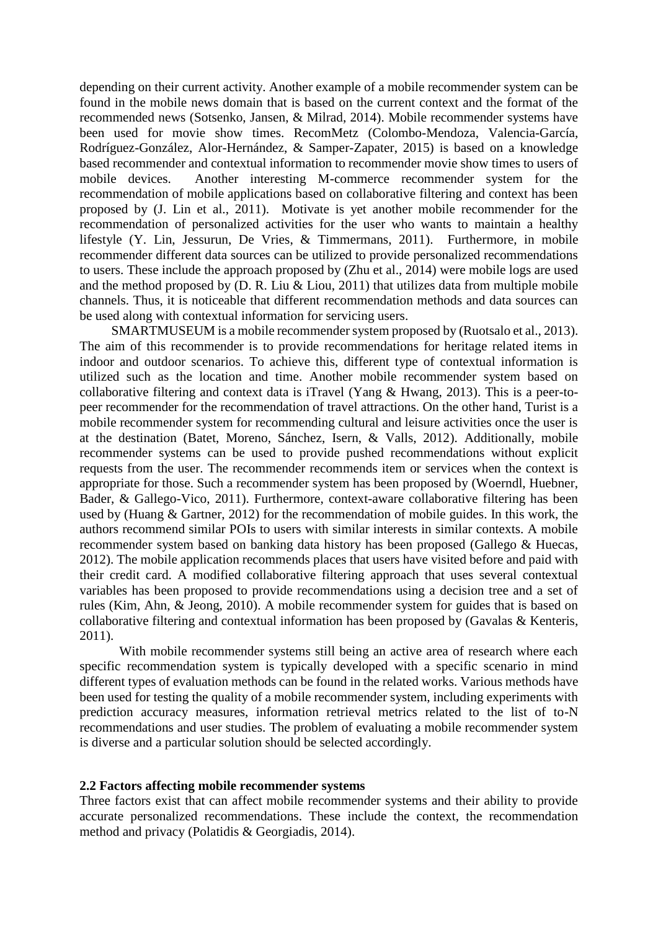depending on their current activity. Another example of a mobile recommender system can be found in the mobile news domain that is based on the current context and the format of the recommended news (Sotsenko, Jansen, & Milrad, 2014). Mobile recommender systems have been used for movie show times. RecomMetz (Colombo-Mendoza, Valencia-García, Rodríguez-González, Alor-Hernández, & Samper-Zapater, 2015) is based on a knowledge based recommender and contextual information to recommender movie show times to users of mobile devices. Another interesting M-commerce recommender system for the recommendation of mobile applications based on collaborative filtering and context has been proposed by (J. Lin et al., 2011). Motivate is yet another mobile recommender for the recommendation of personalized activities for the user who wants to maintain a healthy lifestyle (Y. Lin, Jessurun, De Vries, & Timmermans, 2011). Furthermore, in mobile recommender different data sources can be utilized to provide personalized recommendations to users. These include the approach proposed by (Zhu et al., 2014) were mobile logs are used and the method proposed by  $(D, R, Liu & Liou, 2011)$  that utilizes data from multiple mobile channels. Thus, it is noticeable that different recommendation methods and data sources can be used along with contextual information for servicing users.

SMARTMUSEUM is a mobile recommender system proposed by (Ruotsalo et al., 2013). The aim of this recommender is to provide recommendations for heritage related items in indoor and outdoor scenarios. To achieve this, different type of contextual information is utilized such as the location and time. Another mobile recommender system based on collaborative filtering and context data is iTravel (Yang & Hwang, 2013). This is a peer-topeer recommender for the recommendation of travel attractions. On the other hand, Turist is a mobile recommender system for recommending cultural and leisure activities once the user is at the destination (Batet, Moreno, Sánchez, Isern, & Valls, 2012). Additionally, mobile recommender systems can be used to provide pushed recommendations without explicit requests from the user. The recommender recommends item or services when the context is appropriate for those. Such a recommender system has been proposed by (Woerndl, Huebner, Bader, & Gallego-Vico, 2011). Furthermore, context-aware collaborative filtering has been used by (Huang & Gartner, 2012) for the recommendation of mobile guides. In this work, the authors recommend similar POIs to users with similar interests in similar contexts. A mobile recommender system based on banking data history has been proposed (Gallego & Huecas, 2012). The mobile application recommends places that users have visited before and paid with their credit card. A modified collaborative filtering approach that uses several contextual variables has been proposed to provide recommendations using a decision tree and a set of rules (Kim, Ahn, & Jeong, 2010). A mobile recommender system for guides that is based on collaborative filtering and contextual information has been proposed by (Gavalas & Kenteris, 2011).

With mobile recommender systems still being an active area of research where each specific recommendation system is typically developed with a specific scenario in mind different types of evaluation methods can be found in the related works. Various methods have been used for testing the quality of a mobile recommender system, including experiments with prediction accuracy measures, information retrieval metrics related to the list of to-N recommendations and user studies. The problem of evaluating a mobile recommender system is diverse and a particular solution should be selected accordingly.

### **2.2 Factors affecting mobile recommender systems**

Three factors exist that can affect mobile recommender systems and their ability to provide accurate personalized recommendations. These include the context, the recommendation method and privacy (Polatidis & Georgiadis, 2014).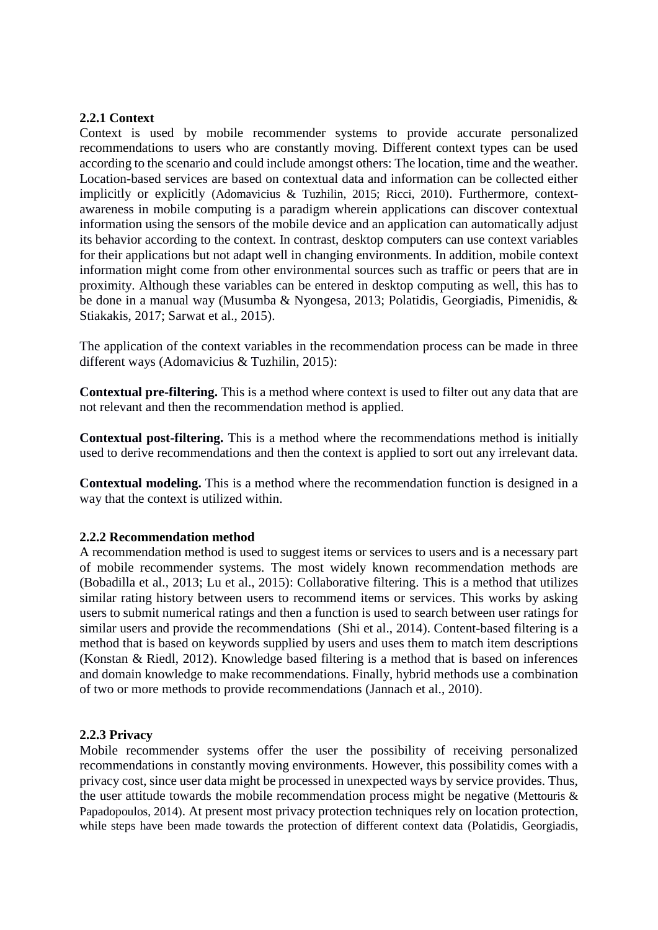### **2.2.1 Context**

Context is used by mobile recommender systems to provide accurate personalized recommendations to users who are constantly moving. Different context types can be used according to the scenario and could include amongst others: The location, time and the weather. Location-based services are based on contextual data and information can be collected either implicitly or explicitly (Adomavicius & Tuzhilin, 2015; Ricci, 2010). Furthermore, contextawareness in mobile computing is a paradigm wherein applications can discover contextual information using the sensors of the mobile device and an application can automatically adjust its behavior according to the context. In contrast, desktop computers can use context variables for their applications but not adapt well in changing environments. In addition, mobile context information might come from other environmental sources such as traffic or peers that are in proximity. Although these variables can be entered in desktop computing as well, this has to be done in a manual way (Musumba & Nyongesa, 2013; Polatidis, Georgiadis, Pimenidis, & Stiakakis, 2017; Sarwat et al., 2015).

The application of the context variables in the recommendation process can be made in three different ways (Adomavicius & Tuzhilin, 2015):

**Contextual pre-filtering.** This is a method where context is used to filter out any data that are not relevant and then the recommendation method is applied.

**Contextual post-filtering.** This is a method where the recommendations method is initially used to derive recommendations and then the context is applied to sort out any irrelevant data.

**Contextual modeling.** This is a method where the recommendation function is designed in a way that the context is utilized within.

### **2.2.2 Recommendation method**

A recommendation method is used to suggest items or services to users and is a necessary part of mobile recommender systems. The most widely known recommendation methods are (Bobadilla et al., 2013; Lu et al., 2015): Collaborative filtering. This is a method that utilizes similar rating history between users to recommend items or services. This works by asking users to submit numerical ratings and then a function is used to search between user ratings for similar users and provide the recommendations (Shi et al., 2014). Content-based filtering is a method that is based on keywords supplied by users and uses them to match item descriptions (Konstan & Riedl, 2012). Knowledge based filtering is a method that is based on inferences and domain knowledge to make recommendations. Finally, hybrid methods use a combination of two or more methods to provide recommendations (Jannach et al., 2010).

### **2.2.3 Privacy**

Mobile recommender systems offer the user the possibility of receiving personalized recommendations in constantly moving environments. However, this possibility comes with a privacy cost, since user data might be processed in unexpected ways by service provides. Thus, the user attitude towards the mobile recommendation process might be negative (Mettouris & Papadopoulos, 2014). At present most privacy protection techniques rely on location protection, while steps have been made towards the protection of different context data (Polatidis, Georgiadis,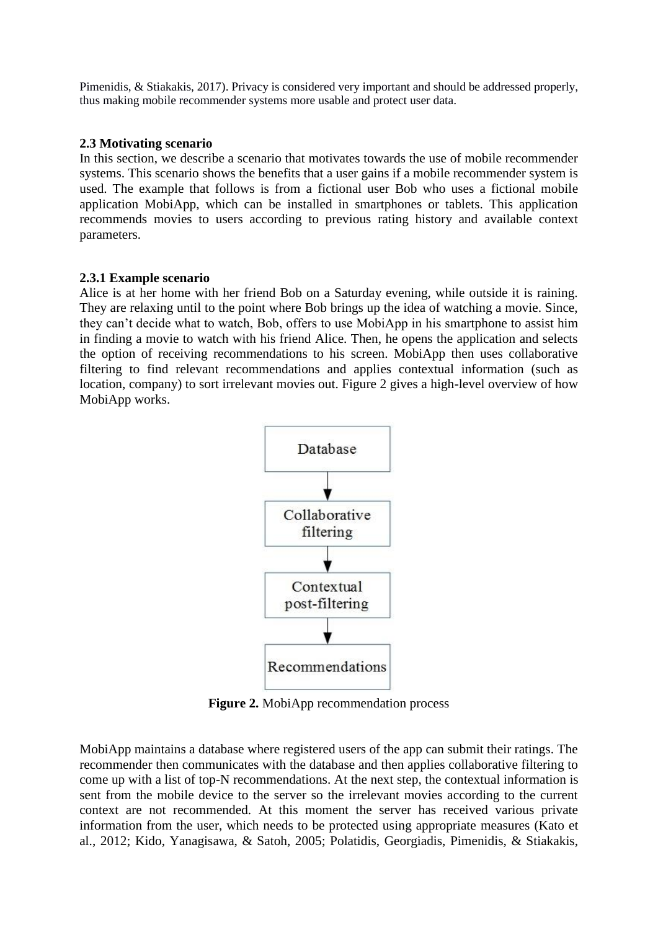Pimenidis, & Stiakakis, 2017). Privacy is considered very important and should be addressed properly, thus making mobile recommender systems more usable and protect user data.

### **2.3 Motivating scenario**

In this section, we describe a scenario that motivates towards the use of mobile recommender systems. This scenario shows the benefits that a user gains if a mobile recommender system is used. The example that follows is from a fictional user Bob who uses a fictional mobile application MobiApp, which can be installed in smartphones or tablets. This application recommends movies to users according to previous rating history and available context parameters.

### **2.3.1 Example scenario**

Alice is at her home with her friend Bob on a Saturday evening, while outside it is raining. They are relaxing until to the point where Bob brings up the idea of watching a movie. Since, they can't decide what to watch, Bob, offers to use MobiApp in his smartphone to assist him in finding a movie to watch with his friend Alice. Then, he opens the application and selects the option of receiving recommendations to his screen. MobiApp then uses collaborative filtering to find relevant recommendations and applies contextual information (such as location, company) to sort irrelevant movies out. Figure 2 gives a high-level overview of how MobiApp works.



**Figure 2.** MobiApp recommendation process

MobiApp maintains a database where registered users of the app can submit their ratings. The recommender then communicates with the database and then applies collaborative filtering to come up with a list of top-N recommendations. At the next step, the contextual information is sent from the mobile device to the server so the irrelevant movies according to the current context are not recommended. At this moment the server has received various private information from the user, which needs to be protected using appropriate measures (Kato et al., 2012; Kido, Yanagisawa, & Satoh, 2005; Polatidis, Georgiadis, Pimenidis, & Stiakakis,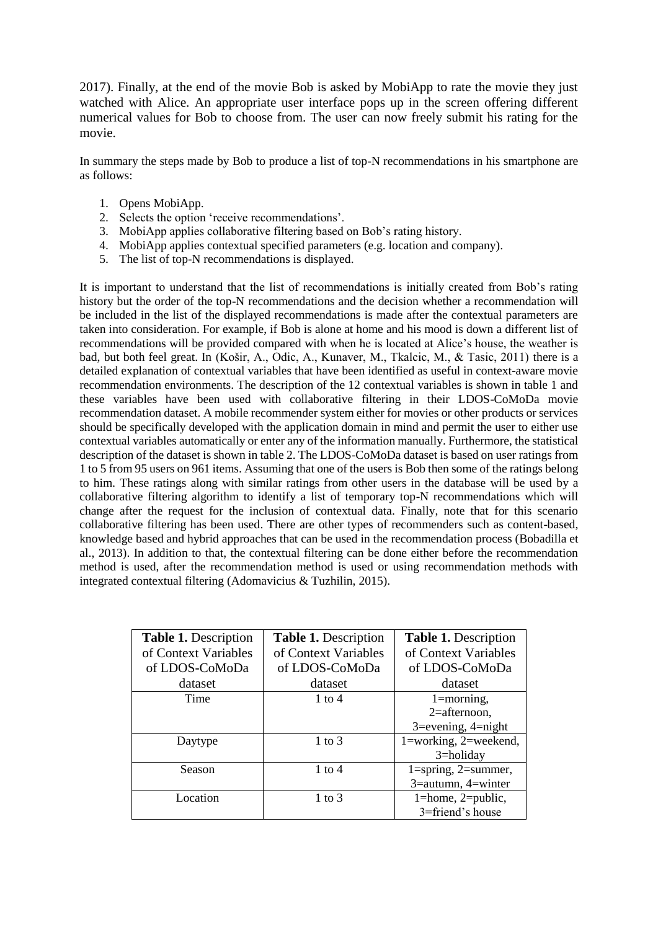2017). Finally, at the end of the movie Bob is asked by MobiApp to rate the movie they just watched with Alice. An appropriate user interface pops up in the screen offering different numerical values for Bob to choose from. The user can now freely submit his rating for the movie.

In summary the steps made by Bob to produce a list of top-N recommendations in his smartphone are as follows:

- 1. Opens MobiApp.
- 2. Selects the option 'receive recommendations'.
- 3. MobiApp applies collaborative filtering based on Bob's rating history.
- 4. MobiApp applies contextual specified parameters (e.g. location and company).
- 5. The list of top-N recommendations is displayed.

It is important to understand that the list of recommendations is initially created from Bob's rating history but the order of the top-N recommendations and the decision whether a recommendation will be included in the list of the displayed recommendations is made after the contextual parameters are taken into consideration. For example, if Bob is alone at home and his mood is down a different list of recommendations will be provided compared with when he is located at Alice's house, the weather is bad, but both feel great. In (Košir, A., Odic, A., Kunaver, M., Tkalcic, M., & Tasic, 2011) there is a detailed explanation of contextual variables that have been identified as useful in context-aware movie recommendation environments. The description of the 12 contextual variables is shown in table 1 and these variables have been used with collaborative filtering in their LDOS-CoMoDa movie recommendation dataset. A mobile recommender system either for movies or other products or services should be specifically developed with the application domain in mind and permit the user to either use contextual variables automatically or enter any of the information manually. Furthermore, the statistical description of the dataset is shown in table 2. The LDOS-CoMoDa dataset is based on user ratings from 1 to 5 from 95 users on 961 items. Assuming that one of the users is Bob then some of the ratings belong to him. These ratings along with similar ratings from other users in the database will be used by a collaborative filtering algorithm to identify a list of temporary top-N recommendations which will change after the request for the inclusion of contextual data. Finally, note that for this scenario collaborative filtering has been used. There are other types of recommenders such as content-based, knowledge based and hybrid approaches that can be used in the recommendation process (Bobadilla et al., 2013). In addition to that, the contextual filtering can be done either before the recommendation method is used, after the recommendation method is used or using recommendation methods with integrated contextual filtering (Adomavicius & Tuzhilin, 2015).

| <b>Table 1. Description</b> | <b>Table 1. Description</b> | <b>Table 1.</b> Description |
|-----------------------------|-----------------------------|-----------------------------|
| of Context Variables        | of Context Variables        | of Context Variables        |
| of LDOS-CoMoDa              | of LDOS-CoMoDa              | of LDOS-CoMoDa              |
| dataset                     | dataset                     | dataset                     |
| Time                        | 1 to $4$                    | $1 = morning,$              |
|                             |                             | $2 =$ afternoon,            |
|                             |                             | $3 = even$ ing, $4 = night$ |
| Daytype                     | $1 \text{ to } 3$           | 1=working, 2=weekend,       |
|                             |                             | $3 = h \text{oliday}$       |
| Season                      | 1 to 4                      | $1 = spring, 2 = summer,$   |
|                             |                             | 3=autumn, 4=winter          |
| Location                    | 1 to $3$                    | 1=home, $2$ =public,        |
|                             |                             | 3=friend's house            |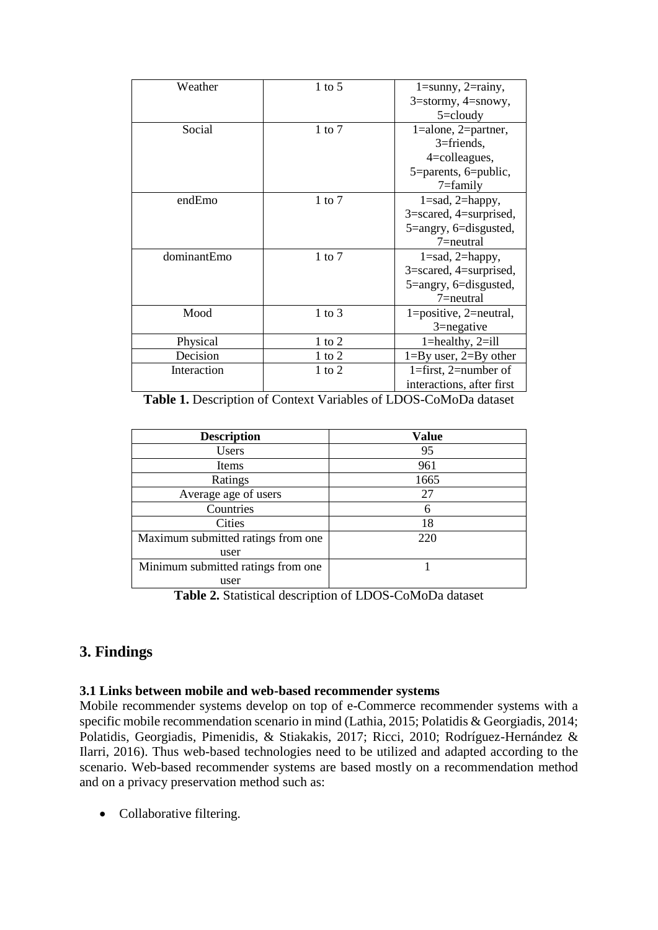| Weather     | $1$ to $5$ | $1 =$ sunny, $2 =$ rainy,                  |
|-------------|------------|--------------------------------------------|
|             |            | $3 =$ stormy, $4 =$ snowy,                 |
|             |            | $5 =$ cloudy                               |
| Social      | 1 to $7$   | 1=alone, 2=partner,                        |
|             |            | $3 =$ friends,                             |
|             |            | 4=colleagues,                              |
|             |            | 5=parents, 6=public,                       |
|             |            | $7 = family$                               |
| endEmo      | $1$ to $7$ | $1 = sad$ , $2 = happy$ ,                  |
|             |            | $3 = \text{scared}, 4 = \text{surprised},$ |
|             |            | 5=angry, 6=disgusted,                      |
|             |            | $7$ =neutral                               |
| dominantEmo | $1$ to $7$ | $1 = sad, 2 = happy,$                      |
|             |            | $3 = \text{scared}, 4 = \text{surprised},$ |
|             |            | 5=angry, 6=disgusted,                      |
|             |            | $7$ =neutral                               |
| Mood        | $1$ to $3$ | $1 = positive, 2 = neutral,$               |
|             |            | $3$ =negative                              |
| Physical    | $1$ to $2$ | 1=healthy, $2=11$                          |
| Decision    | $1$ to $2$ | $1 = By$ user, $2 = By$ other              |
| Interaction | $1$ to $2$ | 1=first, 2=number of                       |
|             |            | interactions, after first                  |

**Table 1.** Description of Context Variables of LDOS-CoMoDa dataset

| <b>Description</b>                 | <b>Value</b> |
|------------------------------------|--------------|
| Users                              | 95           |
| Items                              | 961          |
| Ratings                            | 1665         |
| Average age of users               | 27           |
| Countries                          | 6            |
| Cities                             | 18           |
| Maximum submitted ratings from one | 220          |
| user                               |              |
| Minimum submitted ratings from one |              |
| user                               |              |

**Table 2.** Statistical description of LDOS-CoMoDa dataset

# **3. Findings**

### **3.1 Links between mobile and web-based recommender systems**

Mobile recommender systems develop on top of e-Commerce recommender systems with a specific mobile recommendation scenario in mind (Lathia, 2015; Polatidis & Georgiadis, 2014; Polatidis, Georgiadis, Pimenidis, & Stiakakis, 2017; Ricci, 2010; Rodríguez-Hernández & Ilarri, 2016). Thus web-based technologies need to be utilized and adapted according to the scenario. Web-based recommender systems are based mostly on a recommendation method and on a privacy preservation method such as:

• Collaborative filtering.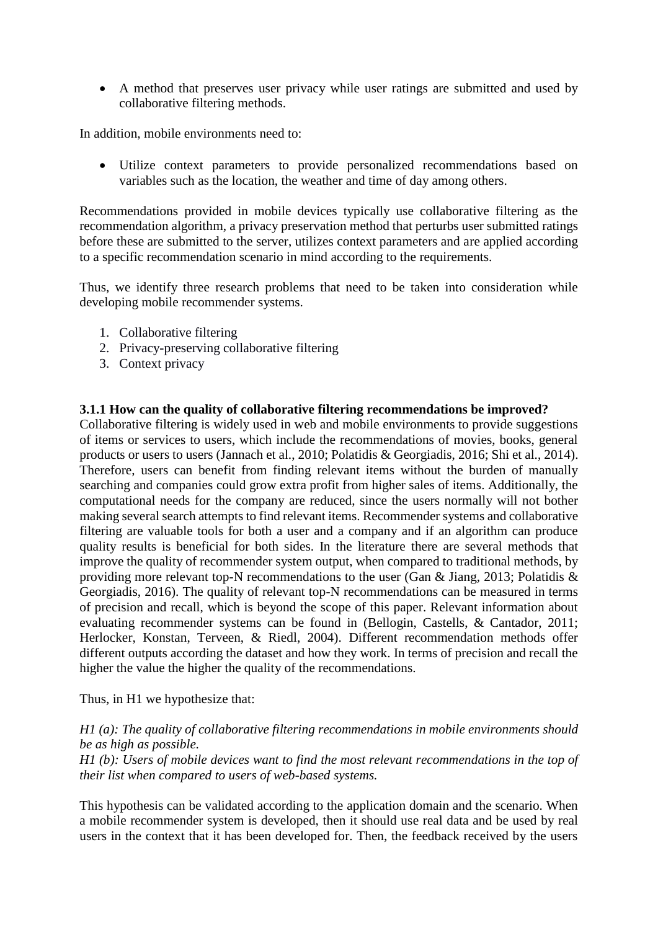A method that preserves user privacy while user ratings are submitted and used by collaborative filtering methods.

In addition, mobile environments need to:

 Utilize context parameters to provide personalized recommendations based on variables such as the location, the weather and time of day among others.

Recommendations provided in mobile devices typically use collaborative filtering as the recommendation algorithm, a privacy preservation method that perturbs user submitted ratings before these are submitted to the server, utilizes context parameters and are applied according to a specific recommendation scenario in mind according to the requirements.

Thus, we identify three research problems that need to be taken into consideration while developing mobile recommender systems.

- 1. Collaborative filtering
- 2. Privacy-preserving collaborative filtering
- 3. Context privacy

### **3.1.1 How can the quality of collaborative filtering recommendations be improved?**

Collaborative filtering is widely used in web and mobile environments to provide suggestions of items or services to users, which include the recommendations of movies, books, general products or users to users (Jannach et al., 2010; Polatidis & Georgiadis, 2016; Shi et al., 2014). Therefore, users can benefit from finding relevant items without the burden of manually searching and companies could grow extra profit from higher sales of items. Additionally, the computational needs for the company are reduced, since the users normally will not bother making several search attempts to find relevant items. Recommender systems and collaborative filtering are valuable tools for both a user and a company and if an algorithm can produce quality results is beneficial for both sides. In the literature there are several methods that improve the quality of recommender system output, when compared to traditional methods, by providing more relevant top-N recommendations to the user (Gan & Jiang, 2013; Polatidis & Georgiadis, 2016). The quality of relevant top-N recommendations can be measured in terms of precision and recall, which is beyond the scope of this paper. Relevant information about evaluating recommender systems can be found in (Bellogin, Castells, & Cantador, 2011; Herlocker, Konstan, Terveen, & Riedl, 2004). Different recommendation methods offer different outputs according the dataset and how they work. In terms of precision and recall the higher the value the higher the quality of the recommendations.

Thus, in H1 we hypothesize that:

*H1 (a): The quality of collaborative filtering recommendations in mobile environments should be as high as possible.*

*H1 (b): Users of mobile devices want to find the most relevant recommendations in the top of their list when compared to users of web-based systems.*

This hypothesis can be validated according to the application domain and the scenario. When a mobile recommender system is developed, then it should use real data and be used by real users in the context that it has been developed for. Then, the feedback received by the users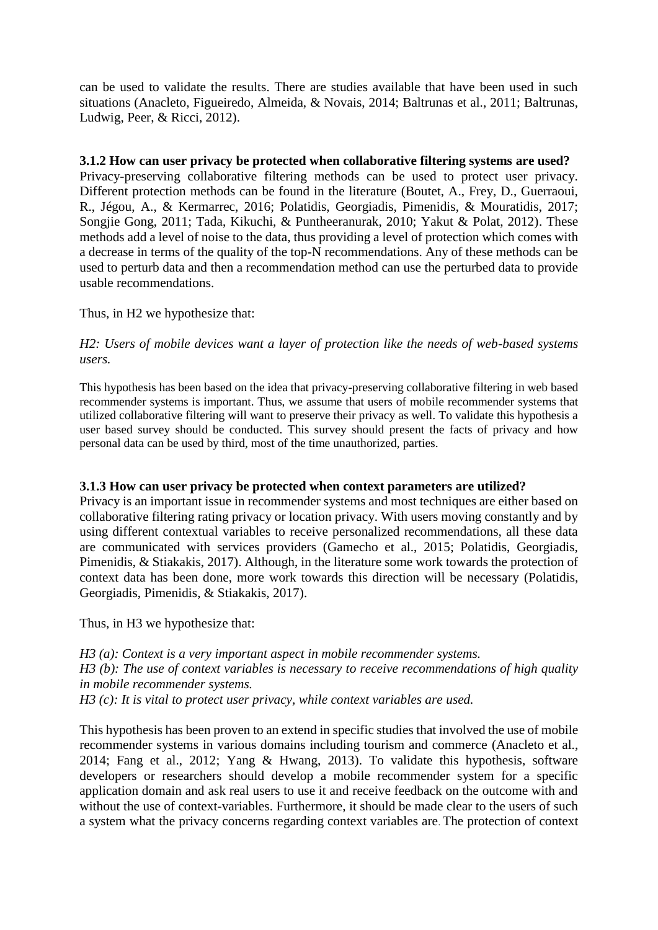can be used to validate the results. There are studies available that have been used in such situations (Anacleto, Figueiredo, Almeida, & Novais, 2014; Baltrunas et al., 2011; Baltrunas, Ludwig, Peer, & Ricci, 2012).

### **3.1.2 How can user privacy be protected when collaborative filtering systems are used?**

Privacy-preserving collaborative filtering methods can be used to protect user privacy. Different protection methods can be found in the literature (Boutet, A., Frey, D., Guerraoui, R., Jégou, A., & Kermarrec, 2016; Polatidis, Georgiadis, Pimenidis, & Mouratidis, 2017; Songjie Gong, 2011; Tada, Kikuchi, & Puntheeranurak, 2010; Yakut & Polat, 2012). These methods add a level of noise to the data, thus providing a level of protection which comes with a decrease in terms of the quality of the top-N recommendations. Any of these methods can be used to perturb data and then a recommendation method can use the perturbed data to provide usable recommendations.

### Thus, in H2 we hypothesize that:

## *H2: Users of mobile devices want a layer of protection like the needs of web-based systems users.*

This hypothesis has been based on the idea that privacy-preserving collaborative filtering in web based recommender systems is important. Thus, we assume that users of mobile recommender systems that utilized collaborative filtering will want to preserve their privacy as well. To validate this hypothesis a user based survey should be conducted. This survey should present the facts of privacy and how personal data can be used by third, most of the time unauthorized, parties.

### **3.1.3 How can user privacy be protected when context parameters are utilized?**

Privacy is an important issue in recommender systems and most techniques are either based on collaborative filtering rating privacy or location privacy. With users moving constantly and by using different contextual variables to receive personalized recommendations, all these data are communicated with services providers (Gamecho et al., 2015; Polatidis, Georgiadis, Pimenidis, & Stiakakis, 2017). Although, in the literature some work towards the protection of context data has been done, more work towards this direction will be necessary (Polatidis, Georgiadis, Pimenidis, & Stiakakis, 2017).

Thus, in H3 we hypothesize that:

*H3 (a): Context is a very important aspect in mobile recommender systems. H3 (b): The use of context variables is necessary to receive recommendations of high quality in mobile recommender systems. H3 (c): It is vital to protect user privacy, while context variables are used.*

This hypothesis has been proven to an extend in specific studies that involved the use of mobile recommender systems in various domains including tourism and commerce (Anacleto et al., 2014; Fang et al., 2012; Yang & Hwang, 2013). To validate this hypothesis, software developers or researchers should develop a mobile recommender system for a specific application domain and ask real users to use it and receive feedback on the outcome with and without the use of context-variables. Furthermore, it should be made clear to the users of such a system what the privacy concerns regarding context variables are. The protection of context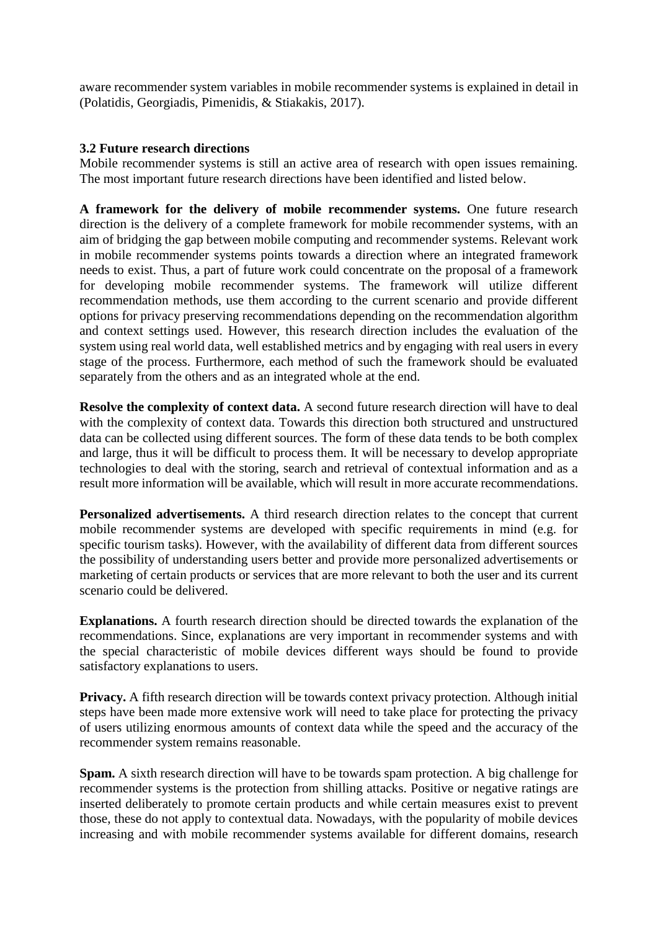aware recommender system variables in mobile recommender systems is explained in detail in (Polatidis, Georgiadis, Pimenidis, & Stiakakis, 2017).

### **3.2 Future research directions**

Mobile recommender systems is still an active area of research with open issues remaining. The most important future research directions have been identified and listed below.

**A framework for the delivery of mobile recommender systems.** One future research direction is the delivery of a complete framework for mobile recommender systems, with an aim of bridging the gap between mobile computing and recommender systems. Relevant work in mobile recommender systems points towards a direction where an integrated framework needs to exist. Thus, a part of future work could concentrate on the proposal of a framework for developing mobile recommender systems. The framework will utilize different recommendation methods, use them according to the current scenario and provide different options for privacy preserving recommendations depending on the recommendation algorithm and context settings used. However, this research direction includes the evaluation of the system using real world data, well established metrics and by engaging with real users in every stage of the process. Furthermore, each method of such the framework should be evaluated separately from the others and as an integrated whole at the end.

**Resolve the complexity of context data.** A second future research direction will have to deal with the complexity of context data. Towards this direction both structured and unstructured data can be collected using different sources. The form of these data tends to be both complex and large, thus it will be difficult to process them. It will be necessary to develop appropriate technologies to deal with the storing, search and retrieval of contextual information and as a result more information will be available, which will result in more accurate recommendations.

**Personalized advertisements.** A third research direction relates to the concept that current mobile recommender systems are developed with specific requirements in mind (e.g. for specific tourism tasks). However, with the availability of different data from different sources the possibility of understanding users better and provide more personalized advertisements or marketing of certain products or services that are more relevant to both the user and its current scenario could be delivered.

**Explanations.** A fourth research direction should be directed towards the explanation of the recommendations. Since, explanations are very important in recommender systems and with the special characteristic of mobile devices different ways should be found to provide satisfactory explanations to users.

**Privacy.** A fifth research direction will be towards context privacy protection. Although initial steps have been made more extensive work will need to take place for protecting the privacy of users utilizing enormous amounts of context data while the speed and the accuracy of the recommender system remains reasonable.

**Spam.** A sixth research direction will have to be towards spam protection. A big challenge for recommender systems is the protection from shilling attacks. Positive or negative ratings are inserted deliberately to promote certain products and while certain measures exist to prevent those, these do not apply to contextual data. Nowadays, with the popularity of mobile devices increasing and with mobile recommender systems available for different domains, research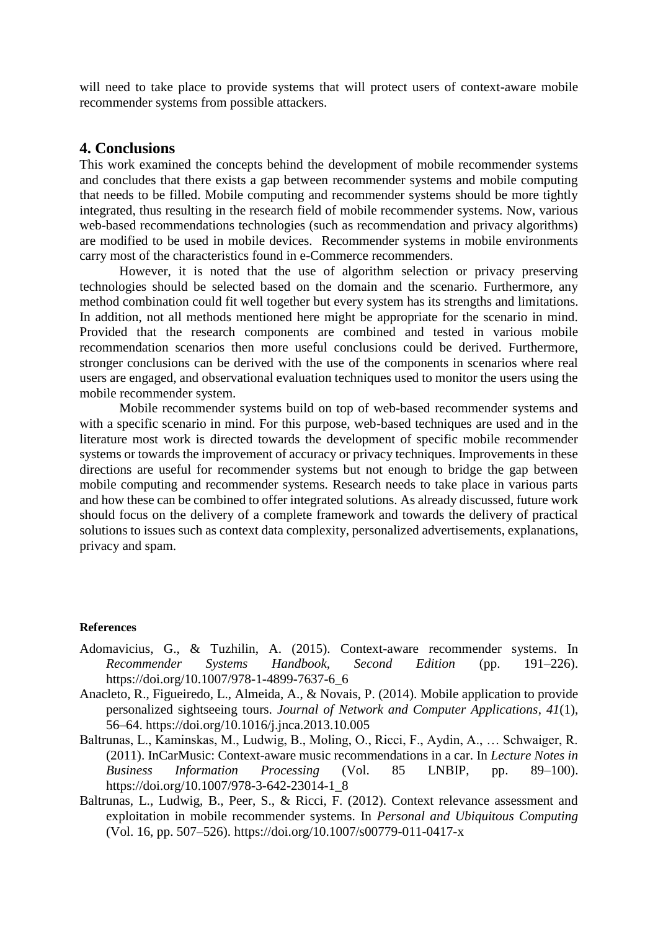will need to take place to provide systems that will protect users of context-aware mobile recommender systems from possible attackers.

### **4. Conclusions**

This work examined the concepts behind the development of mobile recommender systems and concludes that there exists a gap between recommender systems and mobile computing that needs to be filled. Mobile computing and recommender systems should be more tightly integrated, thus resulting in the research field of mobile recommender systems. Now, various web-based recommendations technologies (such as recommendation and privacy algorithms) are modified to be used in mobile devices. Recommender systems in mobile environments carry most of the characteristics found in e-Commerce recommenders.

However, it is noted that the use of algorithm selection or privacy preserving technologies should be selected based on the domain and the scenario. Furthermore, any method combination could fit well together but every system has its strengths and limitations. In addition, not all methods mentioned here might be appropriate for the scenario in mind. Provided that the research components are combined and tested in various mobile recommendation scenarios then more useful conclusions could be derived. Furthermore, stronger conclusions can be derived with the use of the components in scenarios where real users are engaged, and observational evaluation techniques used to monitor the users using the mobile recommender system.

Mobile recommender systems build on top of web-based recommender systems and with a specific scenario in mind. For this purpose, web-based techniques are used and in the literature most work is directed towards the development of specific mobile recommender systems or towards the improvement of accuracy or privacy techniques. Improvements in these directions are useful for recommender systems but not enough to bridge the gap between mobile computing and recommender systems. Research needs to take place in various parts and how these can be combined to offer integrated solutions. As already discussed, future work should focus on the delivery of a complete framework and towards the delivery of practical solutions to issues such as context data complexity, personalized advertisements, explanations, privacy and spam.

#### **References**

- Adomavicius, G., & Tuzhilin, A. (2015). Context-aware recommender systems. In *Recommender Systems Handbook, Second Edition* (pp. 191–226). https://doi.org/10.1007/978-1-4899-7637-6\_6
- Anacleto, R., Figueiredo, L., Almeida, A., & Novais, P. (2014). Mobile application to provide personalized sightseeing tours. *Journal of Network and Computer Applications*, *41*(1), 56–64. https://doi.org/10.1016/j.jnca.2013.10.005
- Baltrunas, L., Kaminskas, M., Ludwig, B., Moling, O., Ricci, F., Aydin, A., … Schwaiger, R. (2011). InCarMusic: Context-aware music recommendations in a car. In *Lecture Notes in Business Information Processing* (Vol. 85 LNBIP, pp. 89–100). https://doi.org/10.1007/978-3-642-23014-1\_8
- Baltrunas, L., Ludwig, B., Peer, S., & Ricci, F. (2012). Context relevance assessment and exploitation in mobile recommender systems. In *Personal and Ubiquitous Computing* (Vol. 16, pp. 507–526). https://doi.org/10.1007/s00779-011-0417-x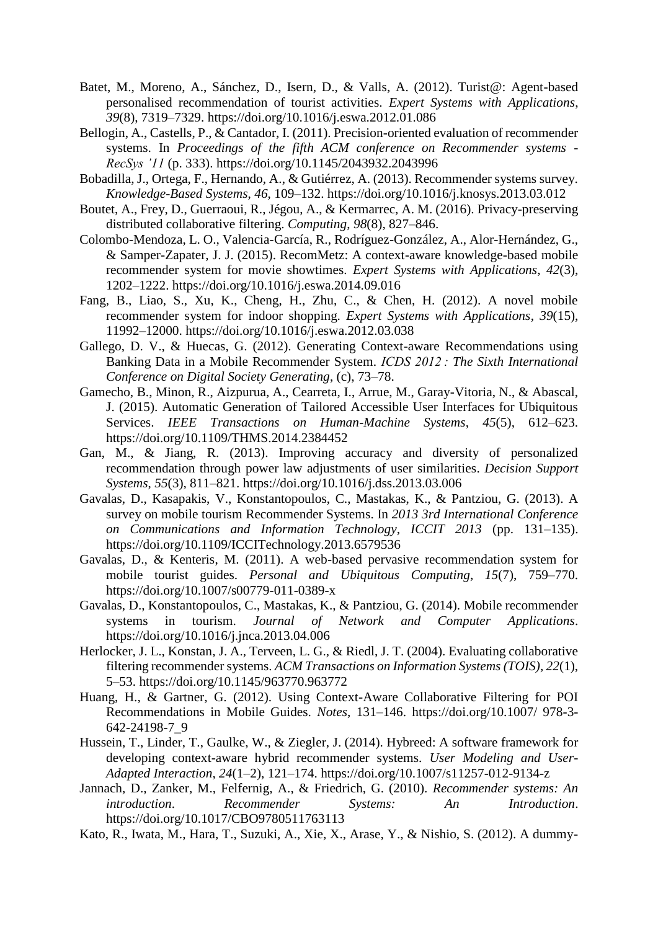- Batet, M., Moreno, A., Sánchez, D., Isern, D., & Valls, A. (2012). Turist@: Agent-based personalised recommendation of tourist activities. *Expert Systems with Applications*, *39*(8), 7319–7329. https://doi.org/10.1016/j.eswa.2012.01.086
- Bellogin, A., Castells, P., & Cantador, I. (2011). Precision-oriented evaluation of recommender systems. In *Proceedings of the fifth ACM conference on Recommender systems - RecSys '11* (p. 333). https://doi.org/10.1145/2043932.2043996
- Bobadilla, J., Ortega, F., Hernando, A., & Gutiérrez, A. (2013). Recommender systems survey. *Knowledge-Based Systems*, *46*, 109–132. https://doi.org/10.1016/j.knosys.2013.03.012
- Boutet, A., Frey, D., Guerraoui, R., Jégou, A., & Kermarrec, A. M. (2016). Privacy-preserving distributed collaborative filtering. *Computing*, *98*(8), 827–846.
- Colombo-Mendoza, L. O., Valencia-García, R., Rodríguez-González, A., Alor-Hernández, G., & Samper-Zapater, J. J. (2015). RecomMetz: A context-aware knowledge-based mobile recommender system for movie showtimes. *Expert Systems with Applications*, *42*(3), 1202–1222. https://doi.org/10.1016/j.eswa.2014.09.016
- Fang, B., Liao, S., Xu, K., Cheng, H., Zhu, C., & Chen, H. (2012). A novel mobile recommender system for indoor shopping. *Expert Systems with Applications*, *39*(15), 11992–12000. https://doi.org/10.1016/j.eswa.2012.03.038
- Gallego, D. V., & Huecas, G. (2012). Generating Context-aware Recommendations using Banking Data in a Mobile Recommender System. *ICDS 2012 : The Sixth International Conference on Digital Society Generating*, (c), 73–78.
- Gamecho, B., Minon, R., Aizpurua, A., Cearreta, I., Arrue, M., Garay-Vitoria, N., & Abascal, J. (2015). Automatic Generation of Tailored Accessible User Interfaces for Ubiquitous Services. *IEEE Transactions on Human-Machine Systems*, *45*(5), 612–623. https://doi.org/10.1109/THMS.2014.2384452
- Gan, M., & Jiang, R. (2013). Improving accuracy and diversity of personalized recommendation through power law adjustments of user similarities. *Decision Support Systems*, *55*(3), 811–821. https://doi.org/10.1016/j.dss.2013.03.006
- Gavalas, D., Kasapakis, V., Konstantopoulos, C., Mastakas, K., & Pantziou, G. (2013). A survey on mobile tourism Recommender Systems. In *2013 3rd International Conference on Communications and Information Technology, ICCIT 2013* (pp. 131–135). https://doi.org/10.1109/ICCITechnology.2013.6579536
- Gavalas, D., & Kenteris, M. (2011). A web-based pervasive recommendation system for mobile tourist guides. *Personal and Ubiquitous Computing*, *15*(7), 759–770. https://doi.org/10.1007/s00779-011-0389-x
- Gavalas, D., Konstantopoulos, C., Mastakas, K., & Pantziou, G. (2014). Mobile recommender systems in tourism. *Journal of Network and Computer Applications*. https://doi.org/10.1016/j.jnca.2013.04.006
- Herlocker, J. L., Konstan, J. A., Terveen, L. G., & Riedl, J. T. (2004). Evaluating collaborative filtering recommender systems. *ACM Transactions on Information Systems (TOIS)*, *22*(1), 5–53. https://doi.org/10.1145/963770.963772
- Huang, H., & Gartner, G. (2012). Using Context-Aware Collaborative Filtering for POI Recommendations in Mobile Guides. *Notes*, 131–146. https://doi.org/10.1007/ 978-3- 642-24198-7\_9
- Hussein, T., Linder, T., Gaulke, W., & Ziegler, J. (2014). Hybreed: A software framework for developing context-aware hybrid recommender systems. *User Modeling and User-Adapted Interaction*, *24*(1–2), 121–174. https://doi.org/10.1007/s11257-012-9134-z
- Jannach, D., Zanker, M., Felfernig, A., & Friedrich, G. (2010). *Recommender systems: An introduction*. *Recommender Systems: An Introduction*. https://doi.org/10.1017/CBO9780511763113
- Kato, R., Iwata, M., Hara, T., Suzuki, A., Xie, X., Arase, Y., & Nishio, S. (2012). A dummy-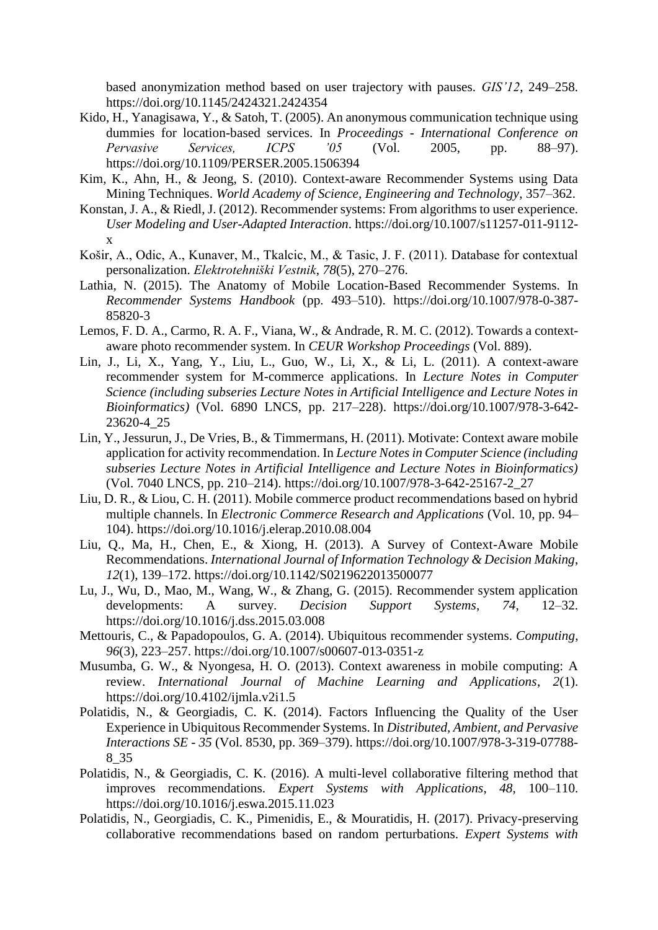based anonymization method based on user trajectory with pauses. *GIS'12*, 249–258. https://doi.org/10.1145/2424321.2424354

- Kido, H., Yanagisawa, Y., & Satoh, T. (2005). An anonymous communication technique using dummies for location-based services. In *Proceedings - International Conference on Pervasive Services, ICPS '05* (Vol. 2005, pp. 88–97). https://doi.org/10.1109/PERSER.2005.1506394
- Kim, K., Ahn, H., & Jeong, S. (2010). Context-aware Recommender Systems using Data Mining Techniques. *World Academy of Science, Engineering and Technology*, 357–362.
- Konstan, J. A., & Riedl, J. (2012). Recommender systems: From algorithms to user experience. *User Modeling and User-Adapted Interaction*. https://doi.org/10.1007/s11257-011-9112 x
- Košir, A., Odic, A., Kunaver, M., Tkalcic, M., & Tasic, J. F. (2011). Database for contextual personalization. *Elektrotehniški Vestnik*, *78*(5), 270–276.
- Lathia, N. (2015). The Anatomy of Mobile Location-Based Recommender Systems. In *Recommender Systems Handbook* (pp. 493–510). https://doi.org/10.1007/978-0-387- 85820-3
- Lemos, F. D. A., Carmo, R. A. F., Viana, W., & Andrade, R. M. C. (2012). Towards a contextaware photo recommender system. In *CEUR Workshop Proceedings* (Vol. 889).
- Lin, J., Li, X., Yang, Y., Liu, L., Guo, W., Li, X., & Li, L. (2011). A context-aware recommender system for M-commerce applications. In *Lecture Notes in Computer Science (including subseries Lecture Notes in Artificial Intelligence and Lecture Notes in Bioinformatics)* (Vol. 6890 LNCS, pp. 217–228). https://doi.org/10.1007/978-3-642- 23620-4\_25
- Lin, Y., Jessurun, J., De Vries, B., & Timmermans, H. (2011). Motivate: Context aware mobile application for activity recommendation. In *Lecture Notes in Computer Science (including subseries Lecture Notes in Artificial Intelligence and Lecture Notes in Bioinformatics)* (Vol. 7040 LNCS, pp. 210–214). https://doi.org/10.1007/978-3-642-25167-2\_27
- Liu, D. R., & Liou, C. H. (2011). Mobile commerce product recommendations based on hybrid multiple channels. In *Electronic Commerce Research and Applications* (Vol. 10, pp. 94– 104). https://doi.org/10.1016/j.elerap.2010.08.004
- Liu, Q., Ma, H., Chen, E., & Xiong, H. (2013). A Survey of Context-Aware Mobile Recommendations. *International Journal of Information Technology & Decision Making*, *12*(1), 139–172. https://doi.org/10.1142/S0219622013500077
- Lu, J., Wu, D., Mao, M., Wang, W., & Zhang, G. (2015). Recommender system application developments: A survey. *Decision Support Systems*, *74*, 12–32. https://doi.org/10.1016/j.dss.2015.03.008
- Mettouris, C., & Papadopoulos, G. A. (2014). Ubiquitous recommender systems. *Computing*, *96*(3), 223–257. https://doi.org/10.1007/s00607-013-0351-z
- Musumba, G. W., & Nyongesa, H. O. (2013). Context awareness in mobile computing: A review. *International Journal of Machine Learning and Applications*, *2*(1). https://doi.org/10.4102/ijmla.v2i1.5
- Polatidis, N., & Georgiadis, C. K. (2014). Factors Influencing the Quality of the User Experience in Ubiquitous Recommender Systems. In *Distributed, Ambient, and Pervasive Interactions SE - 35* (Vol. 8530, pp. 369–379). https://doi.org/10.1007/978-3-319-07788- 8\_35
- Polatidis, N., & Georgiadis, C. K. (2016). A multi-level collaborative filtering method that improves recommendations. *Expert Systems with Applications*, *48*, 100–110. https://doi.org/10.1016/j.eswa.2015.11.023
- Polatidis, N., Georgiadis, C. K., Pimenidis, E., & Mouratidis, H. (2017). Privacy-preserving collaborative recommendations based on random perturbations. *Expert Systems with*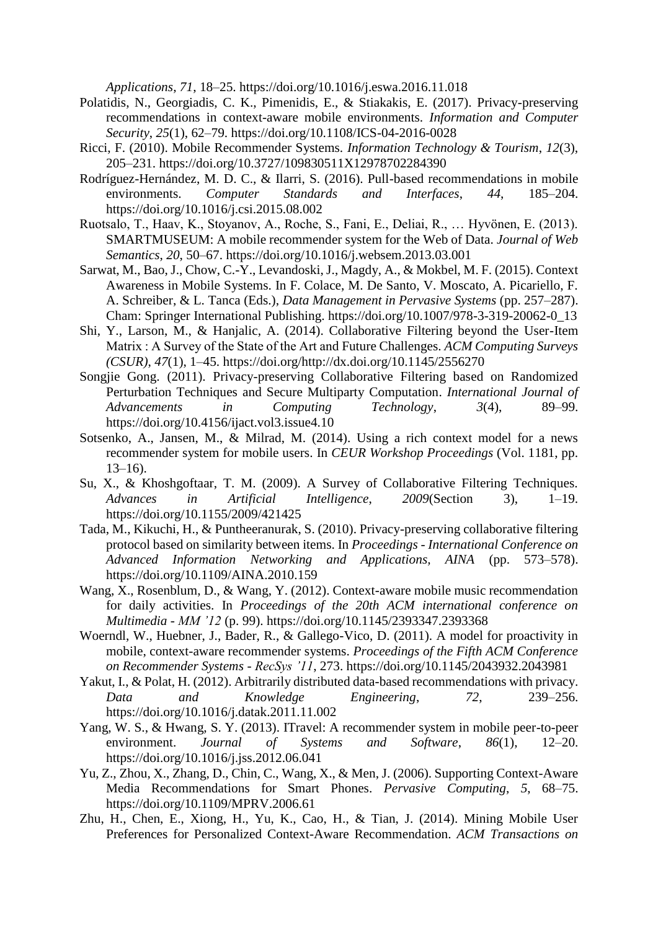*Applications*, *71*, 18–25. https://doi.org/10.1016/j.eswa.2016.11.018

- Polatidis, N., Georgiadis, C. K., Pimenidis, E., & Stiakakis, E. (2017). Privacy-preserving recommendations in context-aware mobile environments. *Information and Computer Security*, *25*(1), 62–79. https://doi.org/10.1108/ICS-04-2016-0028
- Ricci, F. (2010). Mobile Recommender Systems. *Information Technology & Tourism*, *12*(3), 205–231. https://doi.org/10.3727/109830511X12978702284390
- Rodríguez-Hernández, M. D. C., & Ilarri, S. (2016). Pull-based recommendations in mobile environments. *Computer Standards and Interfaces*, *44*, 185–204. https://doi.org/10.1016/j.csi.2015.08.002
- Ruotsalo, T., Haav, K., Stoyanov, A., Roche, S., Fani, E., Deliai, R., … Hyvönen, E. (2013). SMARTMUSEUM: A mobile recommender system for the Web of Data. *Journal of Web Semantics*, *20*, 50–67. https://doi.org/10.1016/j.websem.2013.03.001
- Sarwat, M., Bao, J., Chow, C.-Y., Levandoski, J., Magdy, A., & Mokbel, M. F. (2015). Context Awareness in Mobile Systems. In F. Colace, M. De Santo, V. Moscato, A. Picariello, F. A. Schreiber, & L. Tanca (Eds.), *Data Management in Pervasive Systems* (pp. 257–287). Cham: Springer International Publishing. https://doi.org/10.1007/978-3-319-20062-0\_13
- Shi, Y., Larson, M., & Hanjalic, A. (2014). Collaborative Filtering beyond the User-Item Matrix : A Survey of the State of the Art and Future Challenges. *ACM Computing Surveys (CSUR)*, *47*(1), 1–45. https://doi.org/http://dx.doi.org/10.1145/2556270
- Songjie Gong. (2011). Privacy-preserving Collaborative Filtering based on Randomized Perturbation Techniques and Secure Multiparty Computation. *International Journal of Advancements in Computing Technology*, *3*(4), 89–99. https://doi.org/10.4156/ijact.vol3.issue4.10
- Sotsenko, A., Jansen, M., & Milrad, M. (2014). Using a rich context model for a news recommender system for mobile users. In *CEUR Workshop Proceedings* (Vol. 1181, pp.  $13-16$ ).
- Su, X., & Khoshgoftaar, T. M. (2009). A Survey of Collaborative Filtering Techniques. *Advances in Artificial Intelligence*, *2009*(Section 3), 1–19. https://doi.org/10.1155/2009/421425
- Tada, M., Kikuchi, H., & Puntheeranurak, S. (2010). Privacy-preserving collaborative filtering protocol based on similarity between items. In *Proceedings - International Conference on Advanced Information Networking and Applications, AINA* (pp. 573–578). https://doi.org/10.1109/AINA.2010.159
- Wang, X., Rosenblum, D., & Wang, Y. (2012). Context-aware mobile music recommendation for daily activities. In *Proceedings of the 20th ACM international conference on Multimedia - MM '12* (p. 99). https://doi.org/10.1145/2393347.2393368
- Woerndl, W., Huebner, J., Bader, R., & Gallego-Vico, D. (2011). A model for proactivity in mobile, context-aware recommender systems. *Proceedings of the Fifth ACM Conference on Recommender Systems - RecSys '11*, 273. https://doi.org/10.1145/2043932.2043981
- Yakut, I., & Polat, H. (2012). Arbitrarily distributed data-based recommendations with privacy. *Data and Knowledge Engineering*, *72*, 239–256. https://doi.org/10.1016/j.datak.2011.11.002
- Yang, W. S., & Hwang, S. Y. (2013). ITravel: A recommender system in mobile peer-to-peer environment. *Journal of Systems and Software*, *86*(1), 12–20. https://doi.org/10.1016/j.jss.2012.06.041
- Yu, Z., Zhou, X., Zhang, D., Chin, C., Wang, X., & Men, J. (2006). Supporting Context-Aware Media Recommendations for Smart Phones. *Pervasive Computing*, *5*, 68–75. https://doi.org/10.1109/MPRV.2006.61
- Zhu, H., Chen, E., Xiong, H., Yu, K., Cao, H., & Tian, J. (2014). Mining Mobile User Preferences for Personalized Context-Aware Recommendation. *ACM Transactions on*